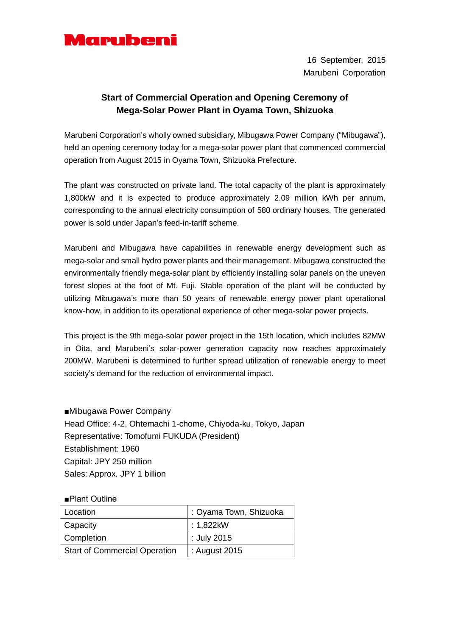

16 September, 2015 Marubeni Corporation

## **Start of Commercial Operation and Opening Ceremony of Mega-Solar Power Plant in Oyama Town, Shizuoka**

Marubeni Corporation's wholly owned subsidiary, Mibugawa Power Company ("Mibugawa"), held an opening ceremony today for a mega-solar power plant that commenced commercial operation from August 2015 in Oyama Town, Shizuoka Prefecture.

The plant was constructed on private land. The total capacity of the plant is approximately 1,800kW and it is expected to produce approximately 2.09 million kWh per annum, corresponding to the annual electricity consumption of 580 ordinary houses. The generated power is sold under Japan's feed-in-tariff scheme.

Marubeni and Mibugawa have capabilities in renewable energy development such as mega-solar and small hydro power plants and their management. Mibugawa constructed the environmentally friendly mega-solar plant by efficiently installing solar panels on the uneven forest slopes at the foot of Mt. Fuji. Stable operation of the plant will be conducted by utilizing Mibugawa's more than 50 years of renewable energy power plant operational know-how, in addition to its operational experience of other mega-solar power projects.

This project is the 9th mega-solar power project in the 15th location, which includes 82MW in Oita, and Marubeni's solar-power generation capacity now reaches approximately 200MW. Marubeni is determined to further spread utilization of renewable energy to meet society's demand for the reduction of environmental impact.

■Mibugawa Power Company Head Office: 4-2, Ohtemachi 1-chome, Chiyoda-ku, Tokyo, Japan Representative: Tomofumi FUKUDA (President) Establishment: 1960 Capital: JPY 250 million Sales: Approx. JPY 1 billion

## ■Plant Outline

| Location                             | : Oyama Town, Shizuoka |
|--------------------------------------|------------------------|
| Capacity                             | : 1,822kW              |
| Completion                           | : July 2015            |
| <b>Start of Commercial Operation</b> | : August 2015          |